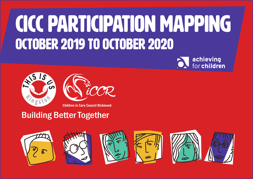## CiCC Participation Mapping October 2019 to October 2020





## Building Better Together

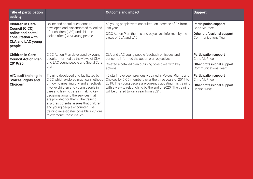| <b>Title of participation</b><br>activity                                                                                        |                                                                                                                                                                                                                                                                                                                                                                                                                                             | <b>Outcome and impact</b>                                                                                                                                                                                                                                                                       | <b>Support</b>                                                                                           |
|----------------------------------------------------------------------------------------------------------------------------------|---------------------------------------------------------------------------------------------------------------------------------------------------------------------------------------------------------------------------------------------------------------------------------------------------------------------------------------------------------------------------------------------------------------------------------------------|-------------------------------------------------------------------------------------------------------------------------------------------------------------------------------------------------------------------------------------------------------------------------------------------------|----------------------------------------------------------------------------------------------------------|
| <b>Children in Care</b><br><b>Council (CiCC)</b><br>online and postal<br>consultation with<br><b>CLA and LAC young</b><br>people | Online and postal questionnaire<br>developed and disseminated to looked<br>after children (LAC) and children<br>looked after (CLA) young people.                                                                                                                                                                                                                                                                                            | 60 young people were consulted. An increase of 37 from<br>last year.<br>CiCC Action Plan themes and objectives informed by the<br>views of CLA and LAC.                                                                                                                                         | <b>Participation support</b><br>Chris McPhee<br>Other professional support<br><b>Communications Team</b> |
| <b>Children in Care</b><br><b>Council Action Plan</b><br>2019/20                                                                 | CiCC Action Plan developed by young<br>people, informed by the views of CLA<br>and LAC young people and Social Care<br>staff.                                                                                                                                                                                                                                                                                                               | CLA and LAC young people feedback on issues and<br>concerns informed the action plan objectives.<br>Created a detailed plan outlining objectives with key<br>actions.                                                                                                                           | <b>Participation support</b><br>Chris McPhee<br>Other professional support<br><b>Communications Team</b> |
| AfC staff training In<br>'Voices Rights and<br><b>Choices'</b>                                                                   | Training developed and facilitated by<br>CiCC which explores practical methods<br>of how to meaningfully and effectively<br>involve children and young people in<br>care and leaving care in making key<br>decisions around the services that<br>are provided for them. The training<br>explores potential issues that children<br>and young people encounter. The<br>training investigates possible solutions<br>to overcome these issues. | 45 staff have been previously trained in Voices, Rights and<br>Choices by CiCC members over the three years of 2017 to<br>2019. The young people are currently updating this training<br>with a view to relaunching by the end of 2020. The training<br>will be offered twice a year from 2021. | <b>Participation support</b><br>Chris McPhee<br>Other professional support<br>Sophie White               |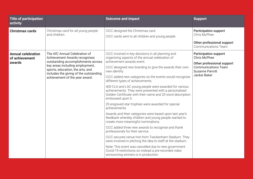| <b>Title of participation</b><br>activity             |                                                                                                                                                                                                                                                         | <b>Outcome and impact</b>                                                                                                                                                                                                                                                                                                                                                                                                                                                                                                                                                                                                                                                                                                                                                                                                                                                                                                                                                                                                                                                                                                      | <b>Support</b>                                                                                                                                            |
|-------------------------------------------------------|---------------------------------------------------------------------------------------------------------------------------------------------------------------------------------------------------------------------------------------------------------|--------------------------------------------------------------------------------------------------------------------------------------------------------------------------------------------------------------------------------------------------------------------------------------------------------------------------------------------------------------------------------------------------------------------------------------------------------------------------------------------------------------------------------------------------------------------------------------------------------------------------------------------------------------------------------------------------------------------------------------------------------------------------------------------------------------------------------------------------------------------------------------------------------------------------------------------------------------------------------------------------------------------------------------------------------------------------------------------------------------------------------|-----------------------------------------------------------------------------------------------------------------------------------------------------------|
| <b>Christmas cards</b>                                | Christmas card for all young people<br>and children.                                                                                                                                                                                                    | CiCC designed the Christmas card.<br>CiCC cards sent to all children and young people.                                                                                                                                                                                                                                                                                                                                                                                                                                                                                                                                                                                                                                                                                                                                                                                                                                                                                                                                                                                                                                         | <b>Participation support</b><br>Chris McPhee<br>Other professional support<br><b>Communications Team</b>                                                  |
| <b>Annual celebration</b><br>of achievement<br>awards | The AfC Annual Celebration of<br>Achievement Awards recognises<br>outstanding accomplishments across<br>key areas including employment,<br>sports, education, the arts, and<br>includes the giving of the outstanding<br>achievement of the year award. | CiCC involved in key decisions in all planning and<br>organising aspects of the annual celebration of<br>achievement awards event.<br>CiCC designed new branding to give the awards their own<br>new identify.<br>CiCC added new categories so the events would recognise<br>different types of achievements.<br>400 CLA and LAC young people were awarded for various<br>achievements. They were presented with a personalised<br>Golden Certificate with their name and 20 word description<br>embossed upon it.<br>20 engraved star trophies were awarded for special<br>achievements.<br>Awards and their categories were based upon last year's<br>feedback whereby children and young people wanted to<br>create more meaningful nominations.<br>CiCC added three new awards to recognise and thank<br>professionals for their service.<br>CiCC secured venue hire from Twickenham Stadium. They<br>were involved in pitching the idea to staff at the stadium.<br>Note: This event was cancelled due to new government<br>Covid-19 restrictions so instead a pre-recorded video<br>announcing winners is in production. | <b>Participation support</b><br><b>Chris McPhee</b><br>Other professional support<br><b>Communications Team</b><br><b>Suzanne Parrott</b><br>Jackie Baker |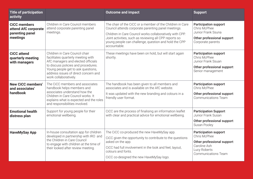| <b>Title of participation</b><br>activity                                  |                                                                                                                                                                                                                                                          | <b>Outcome and impact</b>                                                                                                                                                                                                                                                                                       | <b>Support</b>                                                                                                                           |
|----------------------------------------------------------------------------|----------------------------------------------------------------------------------------------------------------------------------------------------------------------------------------------------------------------------------------------------------|-----------------------------------------------------------------------------------------------------------------------------------------------------------------------------------------------------------------------------------------------------------------------------------------------------------------|------------------------------------------------------------------------------------------------------------------------------------------|
| <b>CiCC members</b><br>attend AfC corporate<br>parenting panel<br>meetings | Children in Care Council members<br>attend corporate parenting panel<br>meetings.                                                                                                                                                                        | The chair of the CiCC or a member of the Children in Care<br>Council attends corporate parenting panel meetings.<br>Children in Care Council works collaboratively with CPP.<br>Joint activities, such as reviewing all CPP reports so<br>young people can challenge, question and hold the CPP<br>accountable. | <b>Participation support</b><br>Chris McPhee<br>Junior Frank Ssuna<br>Other professional support<br>Corporate parents                    |
| <b>CiCC</b> attend<br>quarterly meeting<br>with managers                   | Children in Care Council chair<br>facilitates quarterly meeting with<br>AfC managers and elected officials<br>to discuss policies and procedures.<br>Young people get to ask questions,<br>address issues of direct concern and<br>work collaboratively. | These meetings have been on hold, but will start again<br>shortly.                                                                                                                                                                                                                                              | <b>Participation support</b><br>Chris McPhee<br>Junior Frank Ssuan<br>Other professional support<br>Senior management                    |
| <b>New CiCC members'</b><br>and associates'<br>handbook                    | The CiCC members and associates<br>handbook helps members and<br>associates understand how the<br>Children in Care Council works. It<br>explains what is expected and the roles<br>and responsibilities involved.                                        | The handbook has been given to all members and<br>associates and is available on the AfC website.<br>It was updated with the new branding and colours in a<br>friendly user format.                                                                                                                             | <b>Participation support</b><br>Chris McPhee<br>Other professional support<br><b>Communications Team</b>                                 |
| <b>Emotional health</b><br>distress plan                                   | Support for young people for their<br>emotional wellbeing.                                                                                                                                                                                               | CiCC are the process of finalising an information leaflet<br>with clear and practical advice for emotional wellbeing.                                                                                                                                                                                           | <b>Participation Support</b><br>Junior Frank Susan<br>Other professional support<br>Susan Pooley                                         |
| <b>HaveMySay App</b>                                                       | In-house consultation app for children<br>developed in partnership with IRO and<br>the Children in Care Council<br>to engage with children at the time of<br>their looked after review meeting.                                                          | The CiCC co-produced the new HaveMySay app.<br>CiCC given the opportunity to contribute to the questions<br>asked on the app.<br>CiCC had full involvement in the look and feel, layout,<br>colours and fonts.<br>CiCC co-designed the new HaveMySay logo.                                                      | <b>Participation support</b><br>Chris McPhee<br>Other professional support<br>Caroline Ash<br>Lucy Roberts<br><b>Communications Team</b> |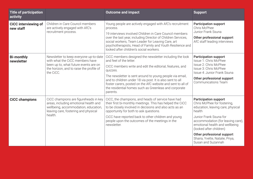| <b>Title of participation</b><br>activity |                                                                                                                                                                             | <b>Outcome and impact</b>                                                                                                                                                                                                                                                                                                                                                                                               | <b>Support</b>                                                                                                                                                                                                                                                                                                                |
|-------------------------------------------|-----------------------------------------------------------------------------------------------------------------------------------------------------------------------------|-------------------------------------------------------------------------------------------------------------------------------------------------------------------------------------------------------------------------------------------------------------------------------------------------------------------------------------------------------------------------------------------------------------------------|-------------------------------------------------------------------------------------------------------------------------------------------------------------------------------------------------------------------------------------------------------------------------------------------------------------------------------|
| <b>CiCC interviewing of</b><br>new staff  | Children in Care Council members<br>are actively engaged with AfC's<br>recruitment process.                                                                                 | Young people are actively engaged with AfC's recruitment<br>process.<br>19 interviews involved Children in Care Council members<br>over the last year, including Director of Children Services,<br>social workers, Team Leader for Leaving Care, art<br>psychotherapists, Head of Family and Youth Resilience and<br>looked after children's social workers.                                                            | <b>Participation support</b><br>Chris McPhee<br>Junior Frank Ssuna<br>Other professional support<br>AfC staff leading interviews                                                                                                                                                                                              |
| <b>Bi-monthly</b><br>newsletter           | Newsletter to keep everyone up-to-date<br>with what the CiCC members have<br>been up to, what future events are on<br>the horizon, and to raise the profile of<br>the CiCC. | CiCC members designed the newsletter including the look<br>and feel of the letter.<br>CICC members write and edit the editorial, features, and<br>quizzes.<br>The newsletter is sent around to young people via email,<br>and to children under 18 via post. It is also sent to all<br>foster carers, posted on the AfC website and sent to all of<br>the residential homes such as Greenleas and corporate<br>parents. | <b>Participation support</b><br>Issue 1: Chris McPhee<br>Issue 2: Chris McPhee<br>Issue 3: Chris McPhee<br>Issue 4: Junior Frank Ssuna<br>Other professional support<br><b>Communications Team</b>                                                                                                                            |
| <b>CiCC champions</b>                     | CiCC champions are figureheads in key<br>areas, including emotional health and<br>wellbeing, accommodation, education,<br>leaving care, fostering and physical<br>health.   | CiCC, the champions, and heads of service have had<br>their first bi-monthly meetings. This has helped the CiCC<br>to be closely involved in decisions and also acts as an<br>opportunity for both to ask questions.<br>CiCC have reported back to other children and young<br>people upon the outcomes of the meetings in the<br>newsletter.                                                                           | <b>Participation support</b><br>Chris McPhee for fostering,<br>education, leaving care, physical<br>health<br>Junior Frank Ssuna for<br>accommodation (for leaving care),<br>emotional health and wellbeing<br>(looked after children)<br>Other professional support<br>Shaira, Yvette, Natalie, Priya,<br>Susan and Suzannah |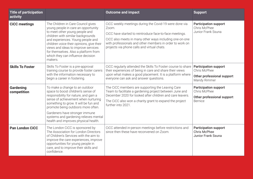| <b>Title of participation</b><br>activity |                                                                                                                                                                                                                                                                                                                                                                   | <b>Outcome and impact</b>                                                                                                                                                                                                                                                                        | <b>Support</b>                                                                               |
|-------------------------------------------|-------------------------------------------------------------------------------------------------------------------------------------------------------------------------------------------------------------------------------------------------------------------------------------------------------------------------------------------------------------------|--------------------------------------------------------------------------------------------------------------------------------------------------------------------------------------------------------------------------------------------------------------------------------------------------|----------------------------------------------------------------------------------------------|
| <b>CiCC meetings</b>                      | The Children in Care Council gives<br>young people in care an opportunity<br>to meet other young people and<br>children with similar backgrounds<br>and experiences. Young people and<br>children voice their opinions, give their<br>views and ideas to improve services<br>for themselves. Also a platform from<br>which they can influence decision<br>makers. | CiCC weekly meetings during the Covid-19 were done via<br>Zoom.<br>CiCC have started to reintroduce face-to-face meetings.<br>CiCC also meets in many other ways including one-on-one<br>with professionals and other members in order to work on<br>projects via phone calls and virtual chats. | <b>Participation support</b><br>Chris McPhee<br>Junior Frank Ssuna                           |
| <b>Skills To Foster</b>                   | Skills To Foster is a pre-approval<br>training course to provide foster carers<br>with the information necessary to<br>begin a career in fostering.                                                                                                                                                                                                               | CiCC regularly attended the Skills To Foster course to share<br>their experiences of being in care and share their views<br>upon what makes a good placement. It is a platform where<br>everyone can ask and answer questions.                                                                   | <b>Participation support</b><br>Chris McPhee<br>Other professional support<br>Mandy Rimmer   |
| Gardening<br>competition                  | To make a change to an outdoor<br>space to boost children's sense of<br>responsibility for nature, and gain a<br>sense of achievement when nurturing<br>something to grow. It will be fun and<br>promote being outdoors more often.<br>Gardeners have stronger immune<br>systems and gardening relieves mental<br>health and improves physical health.            | The CiCC members are supporting the Leaving Care<br>Team to facilitate a gardening project between June and<br>December 2020 for looked after children and care leavers.<br>The CiCC also won a charity grant to expand the project<br>further into 2021.                                        | <b>Participation support</b><br>Chris McPhee<br>Other professional support<br><b>Bernice</b> |
| <b>Pan London CiCC</b>                    | The London CiCC is sponsored by<br>The Association for London Directors<br>of Children's Services with the aim to<br>improve the care experiences, improve<br>opportunities for young people in<br>care, and to improve their skills and<br>confidence.                                                                                                           | CiCC attended in-person meetings before restrictions and<br>since then these have reconvened on Zoom.                                                                                                                                                                                            | <b>Participation support</b><br><b>Chris McPhee</b><br><b>Junior Frank Ssuna</b>             |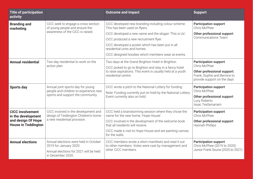| <b>Title of participation</b><br>activity                                                         |                                                                                                                                | <b>Outcome and impact</b>                                                                                                                                                                                                                                                      | <b>Support</b>                                                                                                                             |
|---------------------------------------------------------------------------------------------------|--------------------------------------------------------------------------------------------------------------------------------|--------------------------------------------------------------------------------------------------------------------------------------------------------------------------------------------------------------------------------------------------------------------------------|--------------------------------------------------------------------------------------------------------------------------------------------|
| <b>Branding and</b><br>marketing                                                                  | CiCC seek to engage a cross section<br>of young people and ensure the<br>awareness of the CiCC is raised.                      | CiCC developed new branding including colour scheme.<br>This has been used on flyers.<br>CiCC developed a new name and the slogan 'This is Us'.<br>CiCC produced a new recruitment flyer.<br>CiCC developed a poster which has been put in all<br>residential units and homes. | <b>Participation support</b><br>Chris McPhee<br>Other professional support<br><b>Communications Team</b>                                   |
| <b>Annual residential</b>                                                                         | Two day residential to work on the<br>action plan.                                                                             | CiCC designed hoodies which members wear at events.<br>Two days at the Grand Brighton Hotel in Brighton.                                                                                                                                                                       | <b>Participation support</b><br>Chris McPhee<br>Other professional support:<br>Frank, Sophie and Bernice to<br>provide support on the days |
|                                                                                                   |                                                                                                                                | CiCC picked to go to Brighton and stay in a fancy hotel<br>to raise aspirations. This event is usually held at a youth<br>residential centre.                                                                                                                                  |                                                                                                                                            |
| <b>Sports day</b>                                                                                 | Annual joint sports day for young<br>people and children to experience new<br>sports and support the community.                | CiCC wrote a pitch to the National Lottery for funding.<br>Note: Funding currently put on hold by the National Lottery.<br>Event currently also on hold.                                                                                                                       | <b>Participation support</b><br>Chris McPhee<br>Other professional support<br>Lucy Roberts<br>Issac Tesfamariam                            |
| <b>CICC involvement</b><br>in the development<br>and design Of Hope<br><b>House in Teddington</b> | CiCC involved in the development and<br>design of Teddington Children's home -<br>a new residential provision.                 | CiCC held a brainstorming session where they chose the<br>name for the new home, 'Hope House'.<br>CiCC involved in the development of the welcome book<br>that all residents will receive.<br>CiCC made a visit to Hope House and are painting canvas<br>for the walls.        | <b>Participation support</b><br>Chris McPhee<br>Other professional support<br>Hannah Phillips                                              |
| <b>Annual elections</b>                                                                           | Annual elections were held in October<br>2019 for January 2020.<br>Annual elections for 2021 will be held<br>in December 2020. | CiCC members wrote a short manifesto and read it out<br>to other members. Votes were cast by management and<br>other CiCC members.                                                                                                                                             | <b>Participation support</b><br>Chris McPhee (2019 to 2020)<br>Junior Frank Ssuna (2020 to 2021)                                           |